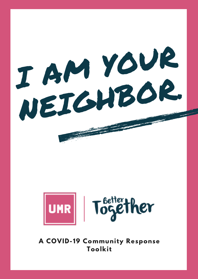<sup>I</sup> AM YOUR NEIGHBOR.



**A COVID-19 Community Response Toolkit**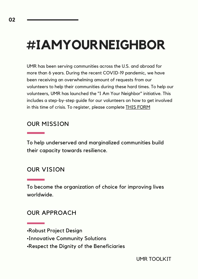## **#IAMYOURNEIGHBOR**

UMR has been serving communities across the U.S. and abroad for more than 6 years. During the recent COVID-19 pandemic, we have been receiving an overwhelming amount of requests from our volunteers to help their communities during these hard times. To help our volunteers, UMR has launched the "I Am Your Neighbor" initiative. This includes a step-by-step guide for our volunteers on how to get involved in this time of crisis. To register, please complete THIS [FORM](https://docs.google.com/forms/d/1Fgx-f9NhFLUTgFtbRfIzcYfaYzYI6-nNknAEGmPoYNs/edit)

### OUR MISSION

To help underserved and marginalized communities build their capacity towards resilience.

#### OUR VISION

To become the organization of choice for improving lives worldwide.

#### OUR APPROACH

•Respect the Dignity of the Beneficiaries

<sup>•</sup>Robust Project Design

<sup>•</sup>Innovative Community Solutions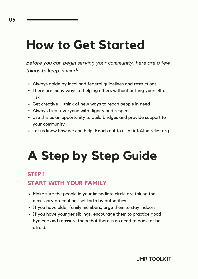## **How to Get Started**

*Before you can begin serving your community, here are a few things to keep in mind:*

- Always abide by local and federal guidelines and restrictions
- There are many ways of helping others without putting yourself at risk
- Get creative -- think of new ways to reach people in need
- Always treat everyone with dignity and respect
- Use this as an opportunity to build bridges and provide support to your community
- Let us know how we can help! Reach out to us at info@umrelief.org

# **A Step by Step Guide**

### **STEP 1:**

## **START WITH YOUR FAMILY**

- Make sure the people in your immediate circle are taking the necessary precautions set forth by authorities.
- If you have older family members, urge them to stay indoors.
- If you have younger siblings, encourage them to practice good hygiene and reassure them that there is no need to panic or be afraid.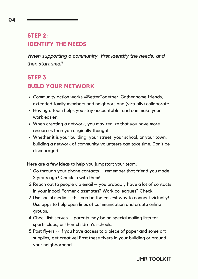## **STEP 2: IDENTIFY THE NEEDS**

*When supporting a community, first identify the needs, and then start small.*

### **STEP 3: BUILD YOUR NETWORK**

- Community action works #BetterTogether. Gather some friends, extended family members and neighbors and (virtually) collaborate.
- Having a team helps you stay accountable, and can make your work easier.
- When creating a network, you may realize that you have more resources than you originally thought.
- Whether it is your building, your street, your school, or your town, building a network of community volunteers can take time. Don't be discouraged.

Here are a few ideas to help you jumpstart your team:

- 1. Go through your phone contacts -- remember that friend you made 2 years ago? Check in with them!
- 2. Reach out to people via email -- you probably have a lot of contacts in your inbox! Former classmates? Work colleagues? Check!
- 3. Use social media -- this can be the easiest way to connect virtually! Use apps to help open lines of communication and create online groups.
- Check list-serves -- parents may be on special mailing lists for 4. sports clubs, or their children's schools.
- 5. Post flyers -- if you have access to a piece of paper and some art supplies, get creative! Post these flyers in your building or around your neighborhood.

UMR TOOLKIT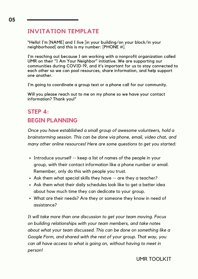### **INVITATION TEMPLATE**

"Hello! I'm [NAME] and I live [in your building/on your block/in your neighborhood] and this is my number: [PHONE #].

I'm reaching out because I am working with a nonprofit organization called UMR on their "I Am Your Neighbor" initiative. We are supporting our communities during COVID-19, and it's important for us to stay connected to each other so we can pool resources, share information, and help support one another.

I'm going to coordinate a group text or a phone call for our community.

Will you please reach out to me on my phone so we have your contact information? Thank you!"

## **STEP 4: BEGIN PLANNING**

*Once you have established a small group of awesome volunteers, hold a brainstorming session. This can be done via phone, email, video chat, and many other online resources! Here are some questions to get you started:*

- Introduce yourself -- keep a list of names of the people in your group, with their contact information like a phone number or email. Remember, only do this with people you trust.
- Ask them what special skills they have -- are they a teacher?
- Ask them what their daily schedules look like to get a better idea about how much time they can dedicate to your group.
- What are their needs? Are they or someone they know in need of assistance?

*It will take more than one discussion to get your team moving. Focus on building relationships with your team members, and take notes about what your team discussed. This can be done on something like a Google Form, and shared with the rest of your group. That way, you can all have access to what is going on, without having to meet in person!*

UMR TOOLKIT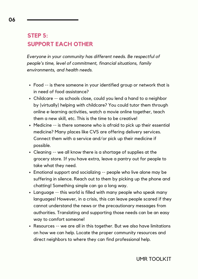## **STEP 5: SUPPORT EACH OTHER**

*Everyone in your community has different needs. Be respectful of people's time, level of commitment, financial situations, family environments, and health needs.*

- Food -- is there someone in your identified group or network that is in need of food assistance?
- Childcare -- as schools close, could you lend a hand to a neighbor by (virtually) helping with childcare? You could tutor them through online e-learning activities, watch a movie online together, teach them a new skill, etc. This is the time to be creative!
- Medicine -- is there someone who is afraid to pick up their essential medicine? Many places like CVS are offering delivery services. Connect them with a service and/or pick up their medicine if possible.
- Cleaning -- we all know there is a shortage of supplies at the grocery store. If you have extra, leave a pantry out for people to take what they need.
- Emotional support and socializing -- people who live alone may be suffering in silence. Reach out to them by picking up the phone and chatting! Something simple can go a long way.
- Language -- this world is filled with many people who speak many languages! However, in a crisis, this can leave people scared if they cannot understand the news or the precautionary messages from authorities. Translating and supporting those needs can be an easy way to comfort someone!
- Resources -- we are all in this together. But we also have limitations on how we can help. Locate the proper community resources and direct neighbors to where they can find professional help.

**06**